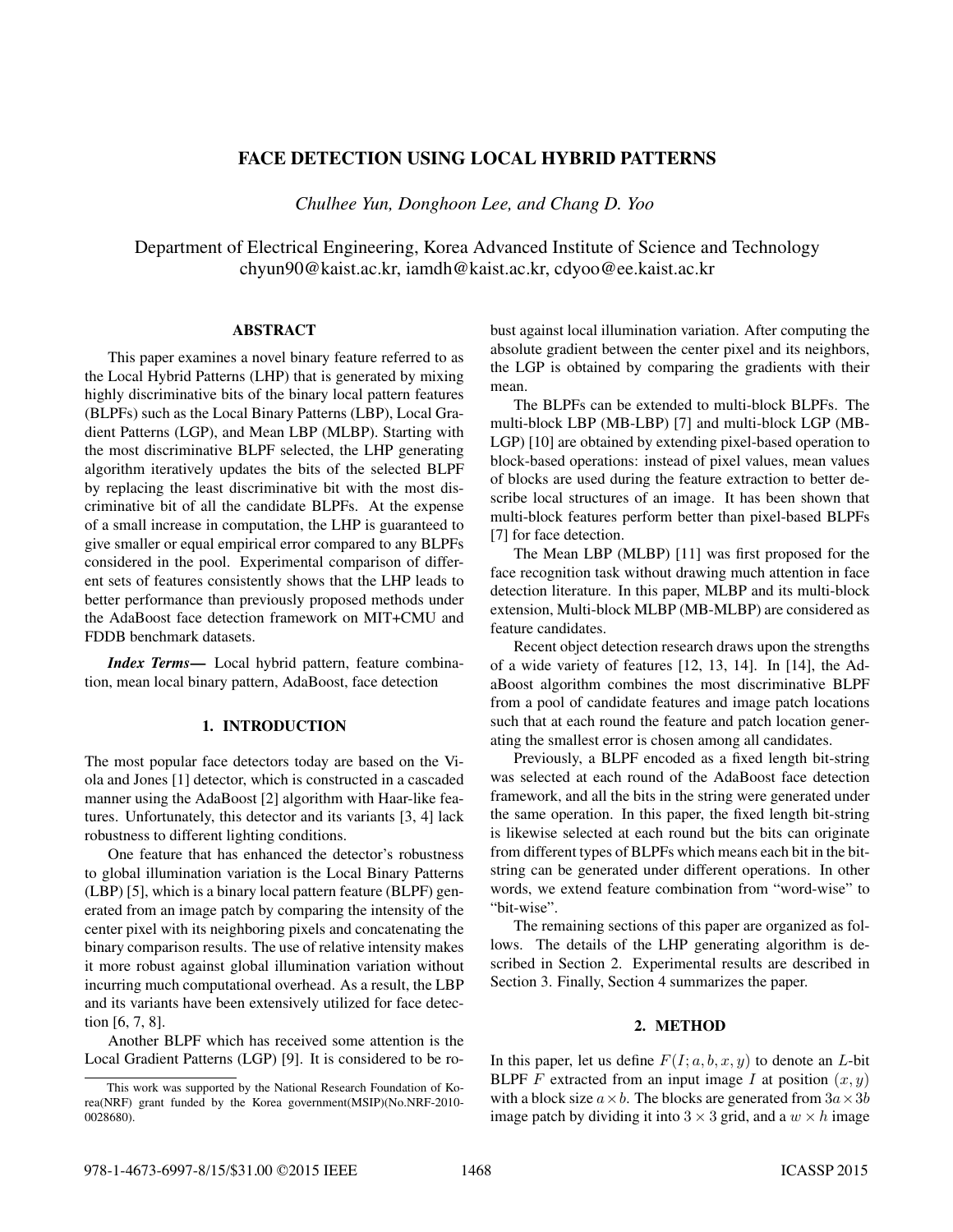# FACE DETECTION USING LOCAL HYBRID PATTERNS

*Chulhee Yun, Donghoon Lee, and Chang D. Yoo*

Department of Electrical Engineering, Korea Advanced Institute of Science and Technology chyun90@kaist.ac.kr, iamdh@kaist.ac.kr, cdyoo@ee.kaist.ac.kr

#### ABSTRACT

This paper examines a novel binary feature referred to as the Local Hybrid Patterns (LHP) that is generated by mixing highly discriminative bits of the binary local pattern features (BLPFs) such as the Local Binary Patterns (LBP), Local Gradient Patterns (LGP), and Mean LBP (MLBP). Starting with the most discriminative BLPF selected, the LHP generating algorithm iteratively updates the bits of the selected BLPF by replacing the least discriminative bit with the most discriminative bit of all the candidate BLPFs. At the expense of a small increase in computation, the LHP is guaranteed to give smaller or equal empirical error compared to any BLPFs considered in the pool. Experimental comparison of different sets of features consistently shows that the LHP leads to better performance than previously proposed methods under the AdaBoost face detection framework on MIT+CMU and FDDB benchmark datasets.

*Index Terms*— Local hybrid pattern, feature combination, mean local binary pattern, AdaBoost, face detection

# 1. INTRODUCTION

The most popular face detectors today are based on the Viola and Jones [1] detector, which is constructed in a cascaded manner using the AdaBoost [2] algorithm with Haar-like features. Unfortunately, this detector and its variants [3, 4] lack robustness to different lighting conditions.

One feature that has enhanced the detector's robustness to global illumination variation is the Local Binary Patterns (LBP) [5], which is a binary local pattern feature (BLPF) generated from an image patch by comparing the intensity of the center pixel with its neighboring pixels and concatenating the binary comparison results. The use of relative intensity makes it more robust against global illumination variation without incurring much computational overhead. As a result, the LBP and its variants have been extensively utilized for face detection [6, 7, 8].

Another BLPF which has received some attention is the Local Gradient Patterns (LGP) [9]. It is considered to be robust against local illumination variation. After computing the absolute gradient between the center pixel and its neighbors, the LGP is obtained by comparing the gradients with their mean.

The BLPFs can be extended to multi-block BLPFs. The multi-block LBP (MB-LBP) [7] and multi-block LGP (MB-LGP) [10] are obtained by extending pixel-based operation to block-based operations: instead of pixel values, mean values of blocks are used during the feature extraction to better describe local structures of an image. It has been shown that multi-block features perform better than pixel-based BLPFs [7] for face detection.

The Mean LBP (MLBP) [11] was first proposed for the face recognition task without drawing much attention in face detection literature. In this paper, MLBP and its multi-block extension, Multi-block MLBP (MB-MLBP) are considered as feature candidates.

Recent object detection research draws upon the strengths of a wide variety of features [12, 13, 14]. In [14], the AdaBoost algorithm combines the most discriminative BLPF from a pool of candidate features and image patch locations such that at each round the feature and patch location generating the smallest error is chosen among all candidates.

Previously, a BLPF encoded as a fixed length bit-string was selected at each round of the AdaBoost face detection framework, and all the bits in the string were generated under the same operation. In this paper, the fixed length bit-string is likewise selected at each round but the bits can originate from different types of BLPFs which means each bit in the bitstring can be generated under different operations. In other words, we extend feature combination from "word-wise" to "bit-wise".

The remaining sections of this paper are organized as follows. The details of the LHP generating algorithm is described in Section 2. Experimental results are described in Section 3. Finally, Section 4 summarizes the paper.

# 2. METHOD

In this paper, let us define  $F(I; a, b, x, y)$  to denote an L-bit BLPF F extracted from an input image I at position  $(x, y)$ with a block size  $a \times b$ . The blocks are generated from  $3a \times 3b$ image patch by dividing it into  $3 \times 3$  grid, and a  $w \times h$  image

This work was supported by the National Research Foundation of Korea(NRF) grant funded by the Korea government(MSIP)(No.NRF-2010- 0028680).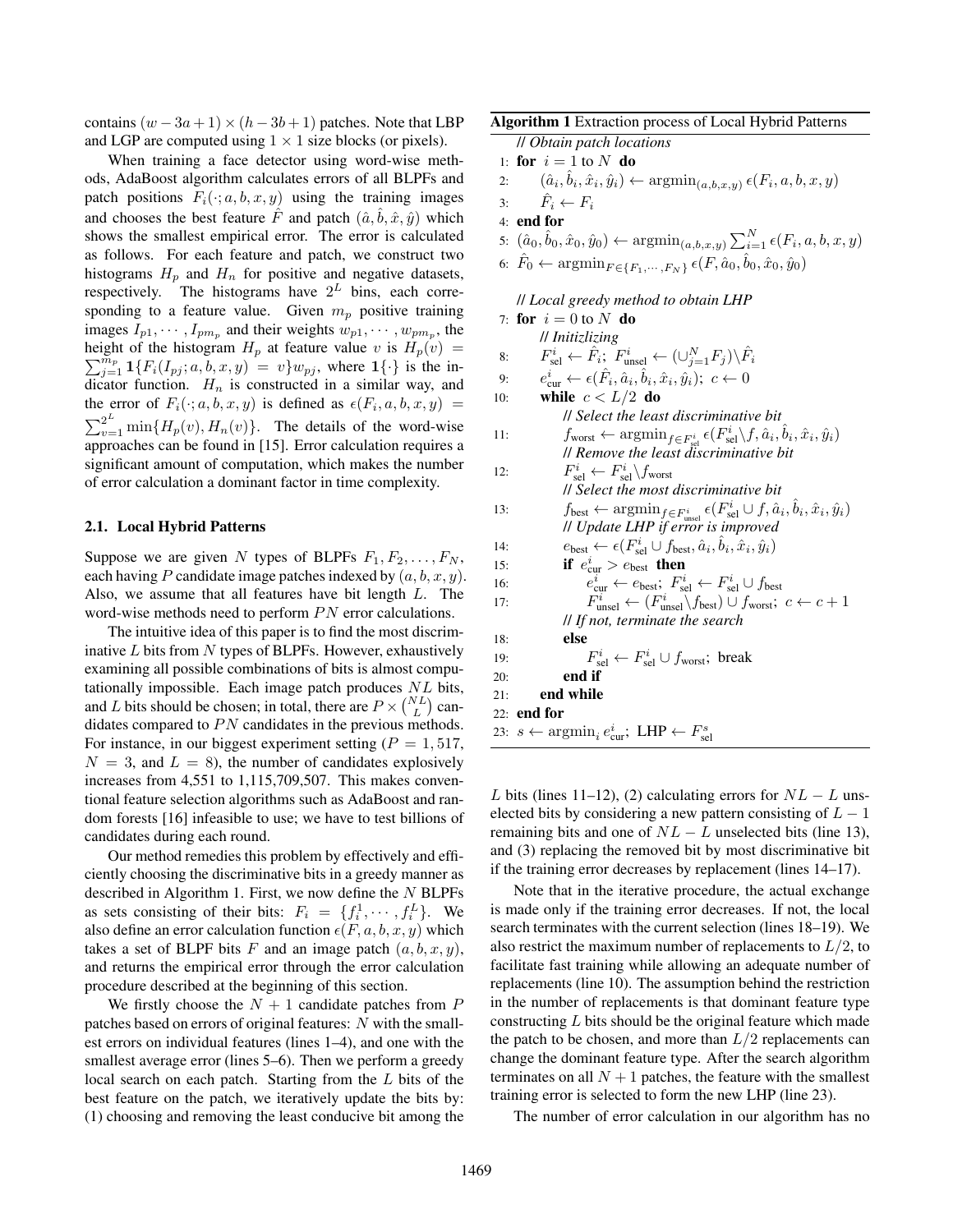contains  $(w - 3a + 1) \times (h - 3b + 1)$  patches. Note that LBP and LGP are computed using  $1 \times 1$  size blocks (or pixels).

When training a face detector using word-wise methods, AdaBoost algorithm calculates errors of all BLPFs and patch positions  $F_i(\cdot; a, b, x, y)$  using the training images and chooses the best feature  $\vec{F}$  and patch  $(\hat{a}, \hat{b}, \hat{x}, \hat{y})$  which shows the smallest empirical error. The error is calculated as follows. For each feature and patch, we construct two histograms  $H_p$  and  $H_n$  for positive and negative datasets, respectively. The histograms have  $2^L$  bins, each corresponding to a feature value. Given  $m_p$  positive training images  $I_{p1}, \dots, I_{pm_p}$  and their weights  $w_{p1}, \dots, w_{pm_p}$ , the height of the histogram  $H_p$  at feature value v is  $H_p(v) =$  $\sum_{j=1}^{\widetilde{m}_p} \mathbf{1}\{F_i(I_{pj}; a, b, x, y) = v\} w_{pj},$  where  $\mathbf{1}\{\cdot\}$  is the indicator function.  $H_n$  is constructed in a similar way, and the error of  $F_i(\cdot; a, b, x, y)$  is defined as  $\epsilon(F_i, a, b, x, y)$  =  $\sum_{v=1}^{2^L} \min\{H_p(v), H_n(v)\}.$  The details of the word-wise approaches can be found in [15]. Error calculation requires a significant amount of computation, which makes the number of error calculation a dominant factor in time complexity.

# 2.1. Local Hybrid Patterns

Suppose we are given N types of BLPFs  $F_1, F_2, \ldots, F_N$ , each having P candidate image patches indexed by  $(a, b, x, y)$ . Also, we assume that all features have bit length L. The word-wise methods need to perform  $PN$  error calculations.

The intuitive idea of this paper is to find the most discriminative  $L$  bits from  $N$  types of BLPFs. However, exhaustively examining all possible combinations of bits is almost computationally impossible. Each image patch produces  $NL$  bits, and L bits should be chosen; in total, there are  $P \times {NL \choose L}$  candidates compared to  $PN$  candidates in the previous methods. For instance, in our biggest experiment setting ( $P = 1,517$ ,  $N = 3$ , and  $L = 8$ ), the number of candidates explosively increases from 4,551 to 1,115,709,507. This makes conventional feature selection algorithms such as AdaBoost and random forests [16] infeasible to use; we have to test billions of candidates during each round.

Our method remedies this problem by effectively and efficiently choosing the discriminative bits in a greedy manner as described in Algorithm 1. First, we now define the  $N$  BLPFs as sets consisting of their bits:  $F_i = \{f_i^1, \dots, f_i^L\}$ . We also define an error calculation function  $\epsilon(F, a, b, x, y)$  which takes a set of BLPF bits F and an image patch  $(a, b, x, y)$ , and returns the empirical error through the error calculation procedure described at the beginning of this section.

We firstly choose the  $N + 1$  candidate patches from P patches based on errors of original features: N with the smallest errors on individual features (lines 1–4), and one with the smallest average error (lines 5–6). Then we perform a greedy local search on each patch. Starting from the L bits of the best feature on the patch, we iteratively update the bits by: (1) choosing and removing the least conducive bit among the

# Algorithm 1 Extraction process of Local Hybrid Patterns

// *Obtain patch locations*

- 1: for  $i = 1$  to N do
- 2:  $(\hat{a}_i, \hat{b}_i, \hat{x}_i, \hat{y}_i) \leftarrow \operatorname{argmin}_{(a, b, x, y)} \epsilon(F_i, a, b, x, y)$
- 3:  $\hat{F}_i \leftarrow F_i$
- 4: end for
- 5:  $(\hat{a}_0, \hat{b}_0, \hat{x}_0, \hat{y}_0) \leftarrow \text{argmin}_{(a, b, x, y)} \sum_{i=1}^{N} \epsilon(F_i, a, b, x, y)$
- 6:  $\hat{F}_0 \leftarrow \operatorname{argmin}_{F \in \{F_1, \dots, F_N\}} \epsilon(F, \hat{a}_0, \hat{b}_0, \hat{x}_0, \hat{y}_0)$

// *Local greedy method to obtain LHP*

|     | 7: for $i=0$ to N do                                                                                                                                             |
|-----|------------------------------------------------------------------------------------------------------------------------------------------------------------------|
|     | // Initizlizing                                                                                                                                                  |
| 8:  | $F_{\text{sel}}^i \leftarrow \hat{F}_i$ ; $F_{\text{unsel}}^i \leftarrow (\cup_{i=1}^N F_i) \backslash \hat{F}_i$                                                |
| 9:  | $e_{\text{cur}}^i \leftarrow \epsilon(\hat{F}_i, \hat{a}_i, \hat{b}_i, \hat{x}_i, \hat{y}_i); c \leftarrow 0$                                                    |
| 10: | while $c < L/2$ do                                                                                                                                               |
|     | <i>ll Select the least discriminative bit</i>                                                                                                                    |
| 11: | $f_{\text{worst}} \leftarrow \operatorname{argmin}_{f \in F_{\text{sel}}^i} \epsilon(F_{\text{sel}}^i \backslash f, \hat{a}_i, \hat{b}_i, \hat{x}_i, \hat{y}_i)$ |
|     | // Remove the least discriminative bit                                                                                                                           |
| 12: | $F_{\rm rel}^i \leftarrow F_{\rm sel}^i \backslash f_{\rm worst}$                                                                                                |
|     | <i>ll Select the most discriminative bit</i>                                                                                                                     |
| 13: | $f_{\text{best}} \leftarrow \operatorname{argmin}_{f \in F_{\text{model}}^i} \epsilon(F_{\text{sel}}^i \cup f, \hat{a}_i, \hat{b}_i, \hat{x}_i, \hat{y}_i)$      |
|     | // Update LHP if error is improved                                                                                                                               |
| 14: | $e_{\text{best}} \leftarrow \epsilon(F_{\text{sel}}^i \cup f_{\text{best}}, \hat{a}_i, b_i, \hat{x}_i, \hat{y}_i)$                                               |
| 15: | if $e_{\text{cur}}^i > e_{\text{best}}$ then                                                                                                                     |
| 16: | $e_{\text{cur}}^i \leftarrow e_{\text{best}}$ ; $F_{\text{sel}}^i \leftarrow F_{\text{sel}}^i \cup f_{\text{best}}$                                              |
| 17: | $F_{\text{unsel}}^i \leftarrow (F_{\text{unsel}}^i \backslash f_{\text{best}}) \cup f_{\text{worst}}; c \leftarrow c + 1$                                        |
|     | // If not, terminate the search                                                                                                                                  |
| 18: | else                                                                                                                                                             |
| 19: | $F_{\rm sel}^i \leftarrow F_{\rm sel}^i \cup f_{\rm worst}$ ; break                                                                                              |
| 20: | end if                                                                                                                                                           |
| 21: | end while                                                                                                                                                        |
|     | $22:$ end for                                                                                                                                                    |
|     | 23: $s \leftarrow \operatorname{argmin}_i e_{\text{cur}}^i$ ; LHP $\leftarrow F_{\text{sel}}^s$                                                                  |

L bits (lines 11–12), (2) calculating errors for  $NL - L$  unselected bits by considering a new pattern consisting of  $L - 1$ remaining bits and one of  $NL - L$  unselected bits (line 13), and (3) replacing the removed bit by most discriminative bit if the training error decreases by replacement (lines 14–17).

Note that in the iterative procedure, the actual exchange is made only if the training error decreases. If not, the local search terminates with the current selection (lines 18–19). We also restrict the maximum number of replacements to  $L/2$ , to facilitate fast training while allowing an adequate number of replacements (line 10). The assumption behind the restriction in the number of replacements is that dominant feature type constructing L bits should be the original feature which made the patch to be chosen, and more than  $L/2$  replacements can change the dominant feature type. After the search algorithm terminates on all  $N + 1$  patches, the feature with the smallest training error is selected to form the new LHP (line 23).

The number of error calculation in our algorithm has no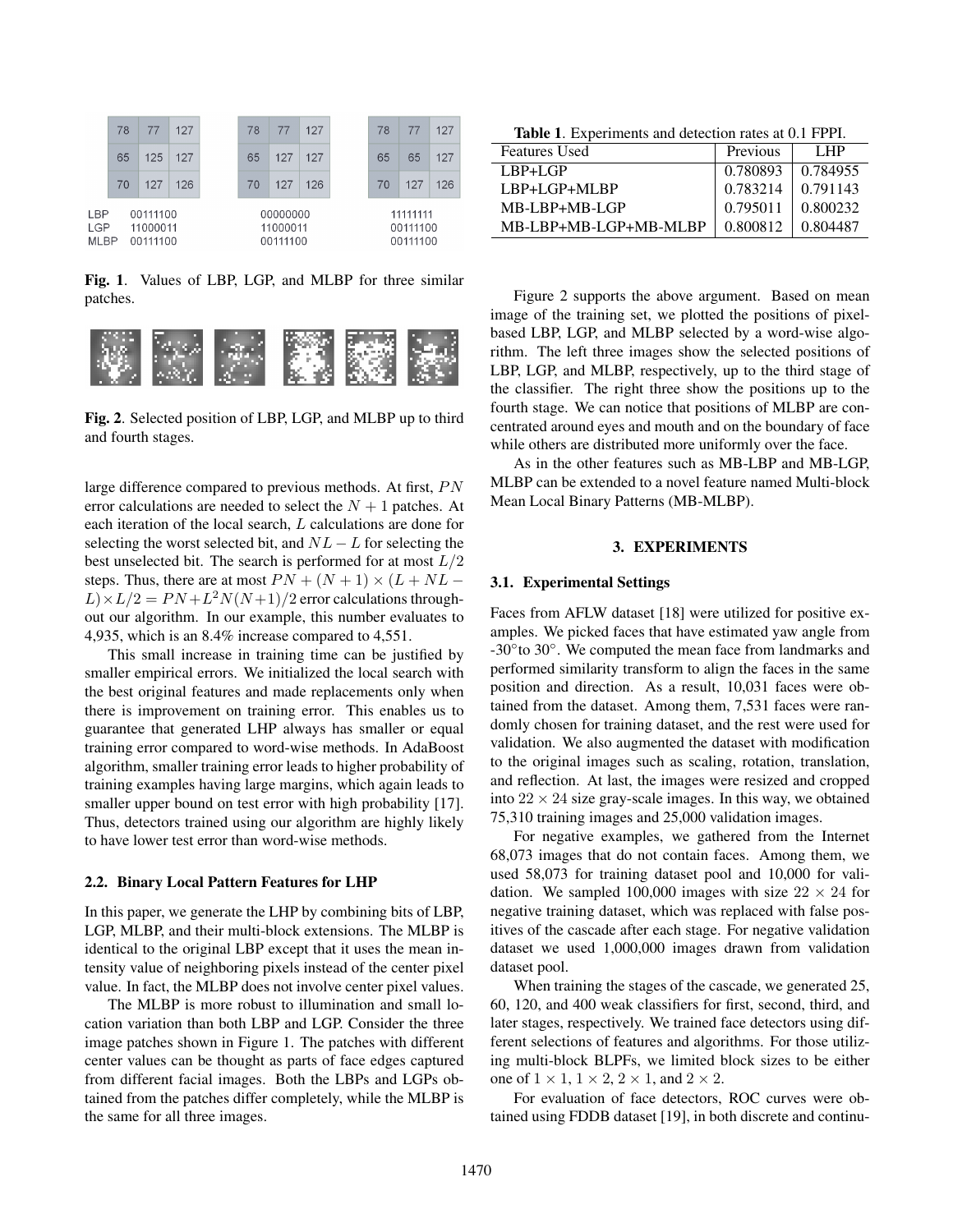

Fig. 1. Values of LBP, LGP, and MLBP for three similar patches.



Fig. 2. Selected position of LBP, LGP, and MLBP up to third and fourth stages.

large difference compared to previous methods. At first,  $PN$ error calculations are needed to select the  $N + 1$  patches. At each iteration of the local search, L calculations are done for selecting the worst selected bit, and  $NL - L$  for selecting the best unselected bit. The search is performed for at most  $L/2$ steps. Thus, there are at most  $PN + (N + 1) \times (L + NL L \times L/2 = PN + L^2 N(N+1)/2$  error calculations throughout our algorithm. In our example, this number evaluates to 4,935, which is an 8.4% increase compared to 4,551.

This small increase in training time can be justified by smaller empirical errors. We initialized the local search with the best original features and made replacements only when there is improvement on training error. This enables us to guarantee that generated LHP always has smaller or equal training error compared to word-wise methods. In AdaBoost algorithm, smaller training error leads to higher probability of training examples having large margins, which again leads to smaller upper bound on test error with high probability [17]. Thus, detectors trained using our algorithm are highly likely to have lower test error than word-wise methods.

#### 2.2. Binary Local Pattern Features for LHP

In this paper, we generate the LHP by combining bits of LBP, LGP, MLBP, and their multi-block extensions. The MLBP is identical to the original LBP except that it uses the mean intensity value of neighboring pixels instead of the center pixel value. In fact, the MLBP does not involve center pixel values.

The MLBP is more robust to illumination and small location variation than both LBP and LGP. Consider the three image patches shown in Figure 1. The patches with different center values can be thought as parts of face edges captured from different facial images. Both the LBPs and LGPs obtained from the patches differ completely, while the MLBP is the same for all three images.

Table 1. Experiments and detection rates at 0.1 FPPI.

| <b>Features Used</b>  | Previous | LHP.     |
|-----------------------|----------|----------|
| $LBP+LGP$             | 0.780893 | 0.784955 |
| $LBP+LGP+MI,BP$       | 0.783214 | 0.791143 |
| $MB-I$ .BP $+MB$ -LGP | 0.795011 | 0.800232 |
| MB-LBP+MB-LGP+MB-MLBP | 0.800812 | 0.804487 |

Figure 2 supports the above argument. Based on mean image of the training set, we plotted the positions of pixelbased LBP, LGP, and MLBP selected by a word-wise algorithm. The left three images show the selected positions of LBP, LGP, and MLBP, respectively, up to the third stage of the classifier. The right three show the positions up to the fourth stage. We can notice that positions of MLBP are concentrated around eyes and mouth and on the boundary of face while others are distributed more uniformly over the face.

As in the other features such as MB-LBP and MB-LGP, MLBP can be extended to a novel feature named Multi-block Mean Local Binary Patterns (MB-MLBP).

# 3. EXPERIMENTS

#### 3.1. Experimental Settings

Faces from AFLW dataset [18] were utilized for positive examples. We picked faces that have estimated yaw angle from -30° to 30°. We computed the mean face from landmarks and performed similarity transform to align the faces in the same position and direction. As a result, 10,031 faces were obtained from the dataset. Among them, 7,531 faces were randomly chosen for training dataset, and the rest were used for validation. We also augmented the dataset with modification to the original images such as scaling, rotation, translation, and reflection. At last, the images were resized and cropped into  $22 \times 24$  size gray-scale images. In this way, we obtained 75,310 training images and 25,000 validation images.

For negative examples, we gathered from the Internet 68,073 images that do not contain faces. Among them, we used 58,073 for training dataset pool and 10,000 for validation. We sampled 100,000 images with size  $22 \times 24$  for negative training dataset, which was replaced with false positives of the cascade after each stage. For negative validation dataset we used 1,000,000 images drawn from validation dataset pool.

When training the stages of the cascade, we generated 25, 60, 120, and 400 weak classifiers for first, second, third, and later stages, respectively. We trained face detectors using different selections of features and algorithms. For those utilizing multi-block BLPFs, we limited block sizes to be either one of  $1 \times 1$ ,  $1 \times 2$ ,  $2 \times 1$ , and  $2 \times 2$ .

For evaluation of face detectors, ROC curves were obtained using FDDB dataset [19], in both discrete and continu-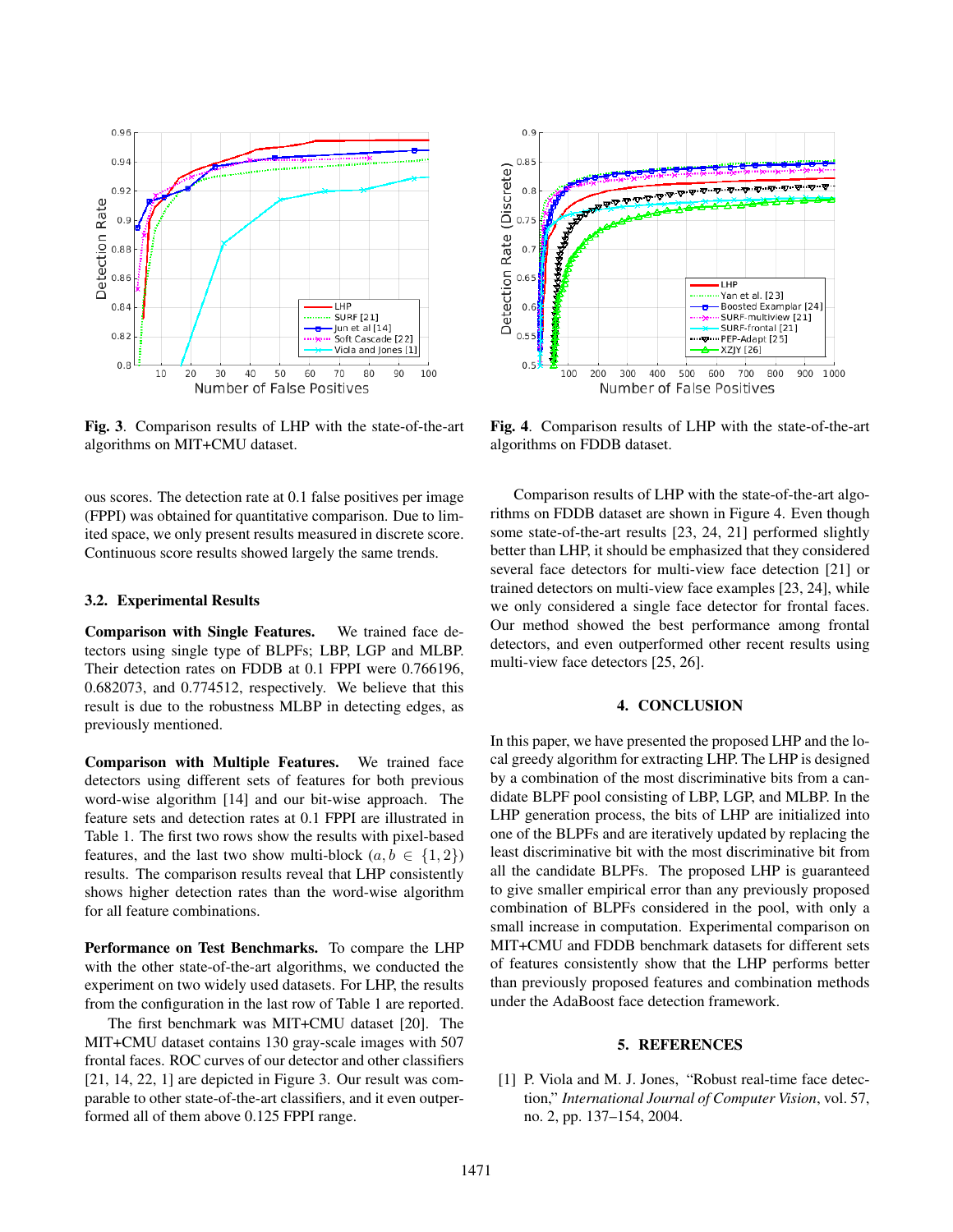

Fig. 3. Comparison results of LHP with the state-of-the-art algorithms on MIT+CMU dataset.

ous scores. The detection rate at 0.1 false positives per image (FPPI) was obtained for quantitative comparison. Due to limited space, we only present results measured in discrete score. Continuous score results showed largely the same trends.

#### 3.2. Experimental Results

Comparison with Single Features. We trained face detectors using single type of BLPFs; LBP, LGP and MLBP. Their detection rates on FDDB at 0.1 FPPI were 0.766196, 0.682073, and 0.774512, respectively. We believe that this result is due to the robustness MLBP in detecting edges, as previously mentioned.

Comparison with Multiple Features. We trained face detectors using different sets of features for both previous word-wise algorithm [14] and our bit-wise approach. The feature sets and detection rates at 0.1 FPPI are illustrated in Table 1. The first two rows show the results with pixel-based features, and the last two show multi-block  $(a, b \in \{1, 2\})$ results. The comparison results reveal that LHP consistently shows higher detection rates than the word-wise algorithm for all feature combinations.

Performance on Test Benchmarks. To compare the LHP with the other state-of-the-art algorithms, we conducted the experiment on two widely used datasets. For LHP, the results from the configuration in the last row of Table 1 are reported.

The first benchmark was MIT+CMU dataset [20]. The MIT+CMU dataset contains 130 gray-scale images with 507 frontal faces. ROC curves of our detector and other classifiers [21, 14, 22, 1] are depicted in Figure 3. Our result was comparable to other state-of-the-art classifiers, and it even outperformed all of them above 0.125 FPPI range.



Fig. 4. Comparison results of LHP with the state-of-the-art algorithms on FDDB dataset.

Comparison results of LHP with the state-of-the-art algorithms on FDDB dataset are shown in Figure 4. Even though some state-of-the-art results [23, 24, 21] performed slightly better than LHP, it should be emphasized that they considered several face detectors for multi-view face detection [21] or trained detectors on multi-view face examples [23, 24], while we only considered a single face detector for frontal faces. Our method showed the best performance among frontal detectors, and even outperformed other recent results using multi-view face detectors [25, 26].

#### 4. CONCLUSION

In this paper, we have presented the proposed LHP and the local greedy algorithm for extracting LHP. The LHP is designed by a combination of the most discriminative bits from a candidate BLPF pool consisting of LBP, LGP, and MLBP. In the LHP generation process, the bits of LHP are initialized into one of the BLPFs and are iteratively updated by replacing the least discriminative bit with the most discriminative bit from all the candidate BLPFs. The proposed LHP is guaranteed to give smaller empirical error than any previously proposed combination of BLPFs considered in the pool, with only a small increase in computation. Experimental comparison on MIT+CMU and FDDB benchmark datasets for different sets of features consistently show that the LHP performs better than previously proposed features and combination methods under the AdaBoost face detection framework.

# 5. REFERENCES

[1] P. Viola and M. J. Jones, "Robust real-time face detection," *International Journal of Computer Vision*, vol. 57, no. 2, pp. 137–154, 2004.